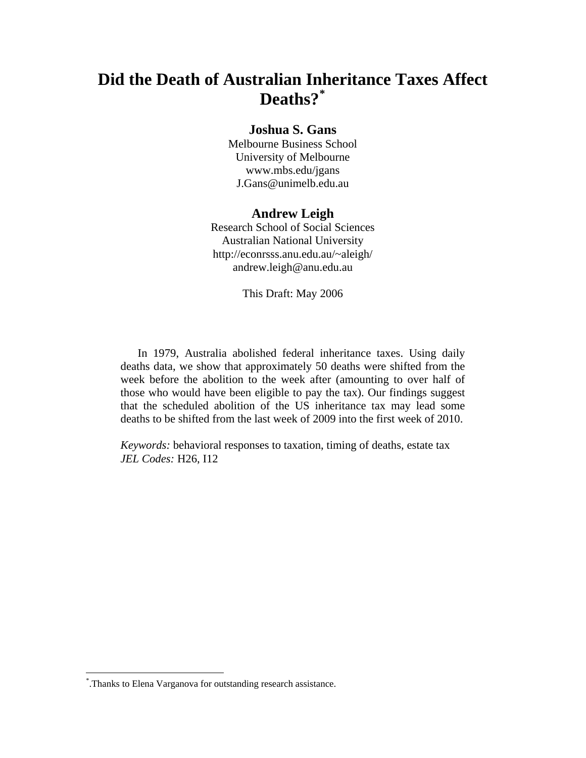# **Did the Death of Australian Inheritance Taxes Affect Deaths?[\\*](#page-0-0)**

## **Joshua S. Gans**

Melbourne Business School University of Melbourne www.mbs.edu/jgans J.Gans@unimelb.edu.au

#### **Andrew Leigh**

Research School of Social Sciences Australian National University http://econrsss.anu.edu.au/~aleigh/ andrew.leigh@anu.edu.au

This Draft: May 2006

In 1979, Australia abolished federal inheritance taxes. Using daily deaths data, we show that approximately 50 deaths were shifted from the week before the abolition to the week after (amounting to over half of those who would have been eligible to pay the tax). Our findings suggest that the scheduled abolition of the US inheritance tax may lead some deaths to be shifted from the last week of 2009 into the first week of 2010.

*Keywords:* behavioral responses to taxation, timing of deaths, estate tax *JEL Codes:* H26, I12

<span id="page-0-0"></span><sup>\*</sup> .Thanks to Elena Varganova for outstanding research assistance.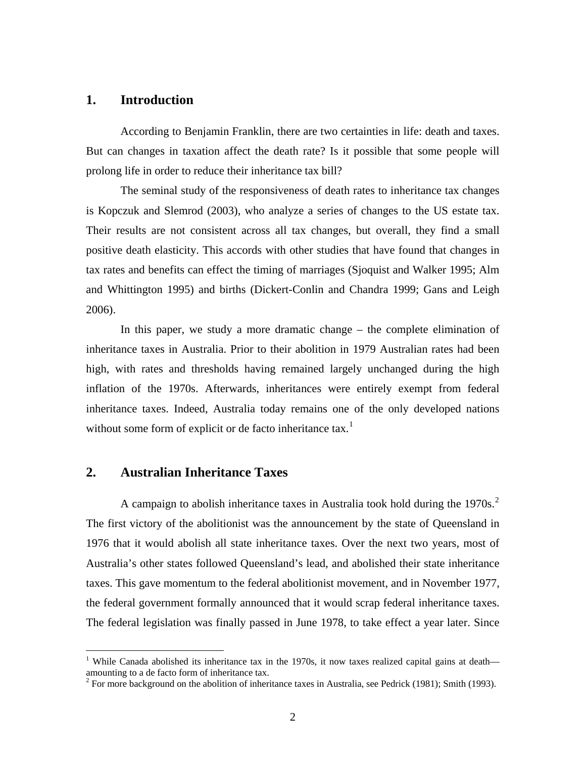#### **1. Introduction**

According to Benjamin Franklin, there are two certainties in life: death and taxes. But can changes in taxation affect the death rate? Is it possible that some people will prolong life in order to reduce their inheritance tax bill?

The seminal study of the responsiveness of death rates to inheritance tax changes is Kopczuk and Slemrod (2003), who analyze a series of changes to the US estate tax. Their results are not consistent across all tax changes, but overall, they find a small positive death elasticity. This accords with other studies that have found that changes in tax rates and benefits can effect the timing of marriages (Sjoquist and Walker 1995; Alm and Whittington 1995) and births (Dickert-Conlin and Chandra 1999; Gans and Leigh 2006).

In this paper, we study a more dramatic change – the complete elimination of inheritance taxes in Australia. Prior to their abolition in 1979 Australian rates had been high, with rates and thresholds having remained largely unchanged during the high inflation of the 1970s. Afterwards, inheritances were entirely exempt from federal inheritance taxes. Indeed, Australia today remains one of the only developed nations without some form of explicit or de facto inheritance  $\text{tax.}^{1}$  $\text{tax.}^{1}$  $\text{tax.}^{1}$ 

## **2. Australian Inheritance Taxes**

1

A campaign to abolish inheritance taxes in Australia took hold during the  $1970s<sup>2</sup>$  $1970s<sup>2</sup>$  $1970s<sup>2</sup>$ . The first victory of the abolitionist was the announcement by the state of Queensland in 1976 that it would abolish all state inheritance taxes. Over the next two years, most of Australia's other states followed Queensland's lead, and abolished their state inheritance taxes. This gave momentum to the federal abolitionist movement, and in November 1977, the federal government formally announced that it would scrap federal inheritance taxes. The federal legislation was finally passed in June 1978, to take effect a year later. Since

<span id="page-1-0"></span><sup>&</sup>lt;sup>1</sup> While Canada abolished its inheritance tax in the 1970s, it now taxes realized capital gains at death amounting to a de facto form of inheritance tax.

<span id="page-1-1"></span><sup>&</sup>lt;sup>2</sup> For more background on the abolition of inheritance taxes in Australia, see Pedrick (1981); Smith (1993).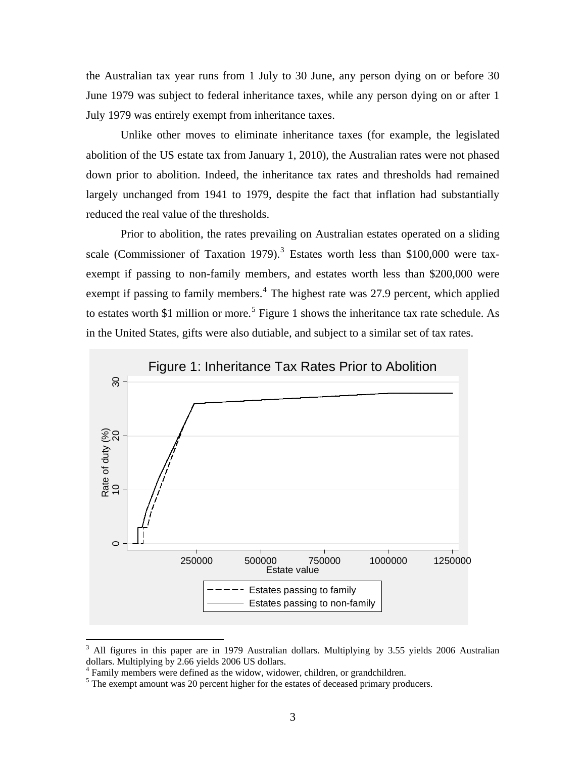the Australian tax year runs from 1 July to 30 June, any person dying on or before 30 June 1979 was subject to federal inheritance taxes, while any person dying on or after 1 July 1979 was entirely exempt from inheritance taxes.

Unlike other moves to eliminate inheritance taxes (for example, the legislated abolition of the US estate tax from January 1, 2010), the Australian rates were not phased down prior to abolition. Indeed, the inheritance tax rates and thresholds had remained largely unchanged from 1941 to 1979, despite the fact that inflation had substantially reduced the real value of the thresholds.

Prior to abolition, the rates prevailing on Australian estates operated on a sliding scale (Commissioner of Taxation 1979).<sup>[3](#page-2-0)</sup> Estates worth less than \$100,000 were taxexempt if passing to non-family members, and estates worth less than \$200,000 were exempt if passing to family members.<sup>[4](#page-2-1)</sup> The highest rate was 27.9 percent, which applied to estates worth \$1 million or more.<sup>[5](#page-2-2)</sup> Figure 1 shows the inheritance tax rate schedule. As in the United States, gifts were also dutiable, and subject to a similar set of tax rates.



<span id="page-2-0"></span><sup>3</sup> All figures in this paper are in 1979 Australian dollars. Multiplying by 3.55 yields 2006 Australian dollars. Multiplying by 2.66 yields 2006 US dollars.

<span id="page-2-1"></span><sup>4</sup> Family members were defined as the widow, widower, children, or grandchildren.

<span id="page-2-2"></span> $<sup>5</sup>$  The exempt amount was 20 percent higher for the estates of deceased primary producers.</sup>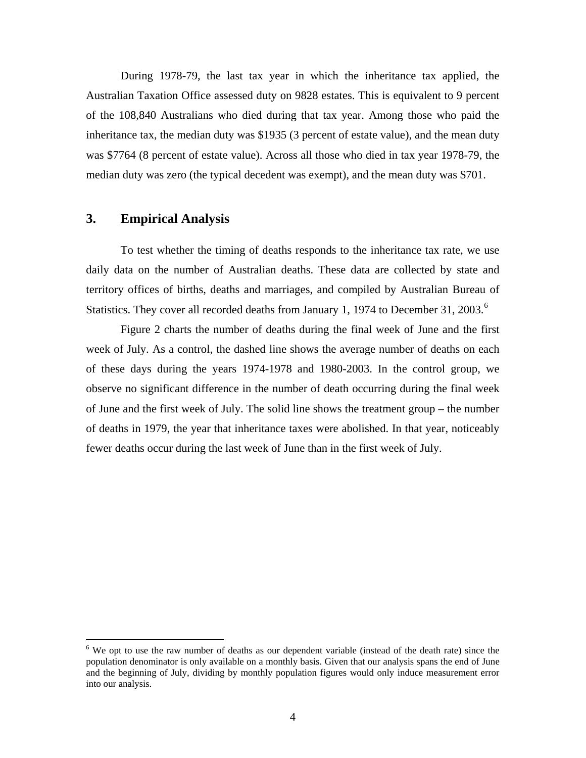During 1978-79, the last tax year in which the inheritance tax applied, the Australian Taxation Office assessed duty on 9828 estates. This is equivalent to 9 percent of the 108,840 Australians who died during that tax year. Among those who paid the inheritance tax, the median duty was \$1935 (3 percent of estate value), and the mean duty was \$7764 (8 percent of estate value). Across all those who died in tax year 1978-79, the median duty was zero (the typical decedent was exempt), and the mean duty was \$701.

## **3. Empirical Analysis**

<u>.</u>

To test whether the timing of deaths responds to the inheritance tax rate, we use daily data on the number of Australian deaths. These data are collected by state and territory offices of births, deaths and marriages, and compiled by Australian Bureau of Statistics. They cover all recorded deaths from January 1, 1974 to December 31, 2003.<sup>[6](#page-3-0)</sup>

Figure 2 charts the number of deaths during the final week of June and the first week of July. As a control, the dashed line shows the average number of deaths on each of these days during the years 1974-1978 and 1980-2003. In the control group, we observe no significant difference in the number of death occurring during the final week of June and the first week of July. The solid line shows the treatment group – the number of deaths in 1979, the year that inheritance taxes were abolished. In that year, noticeably fewer deaths occur during the last week of June than in the first week of July.

<span id="page-3-0"></span><sup>&</sup>lt;sup>6</sup> We opt to use the raw number of deaths as our dependent variable (instead of the death rate) since the population denominator is only available on a monthly basis. Given that our analysis spans the end of June and the beginning of July, dividing by monthly population figures would only induce measurement error into our analysis.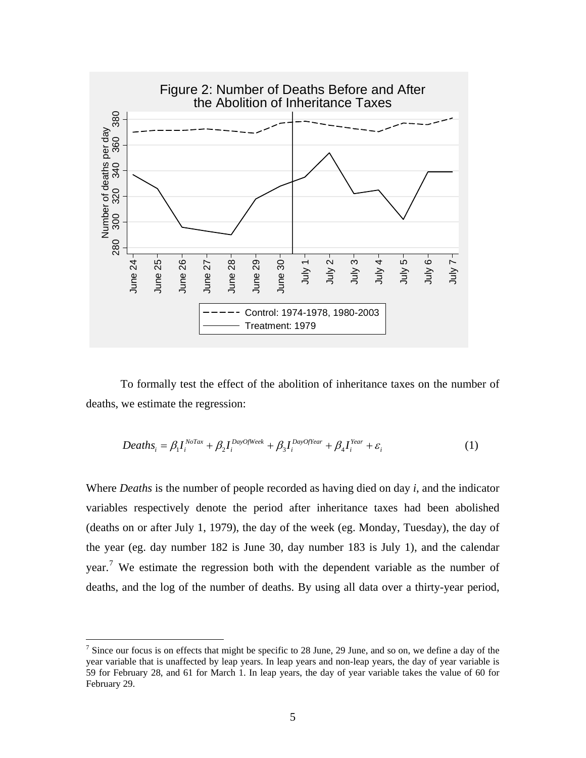

To formally test the effect of the abolition of inheritance taxes on the number of deaths, we estimate the regression:

$$
Deaths_i = \beta_1 I_i^{NoTax} + \beta_2 I_i^{DayOfWeek} + \beta_3 I_i^{DayOfYear} + \beta_4 I_i^{Year} + \varepsilon_i
$$
 (1)

Where *Deaths* is the number of people recorded as having died on day *i*, and the indicator variables respectively denote the period after inheritance taxes had been abolished (deaths on or after July 1, 1979), the day of the week (eg. Monday, Tuesday), the day of the year (eg. day number 182 is June 30, day number 183 is July 1), and the calendar year.<sup>[7](#page-4-0)</sup> We estimate the regression both with the dependent variable as the number of deaths, and the log of the number of deaths. By using all data over a thirty-year period,

<span id="page-4-0"></span><sup>&</sup>lt;sup>7</sup> Since our focus is on effects that might be specific to 28 June, 29 June, and so on, we define a day of the year variable that is unaffected by leap years. In leap years and non-leap years, the day of year variable is 59 for February 28, and 61 for March 1. In leap years, the day of year variable takes the value of 60 for February 29.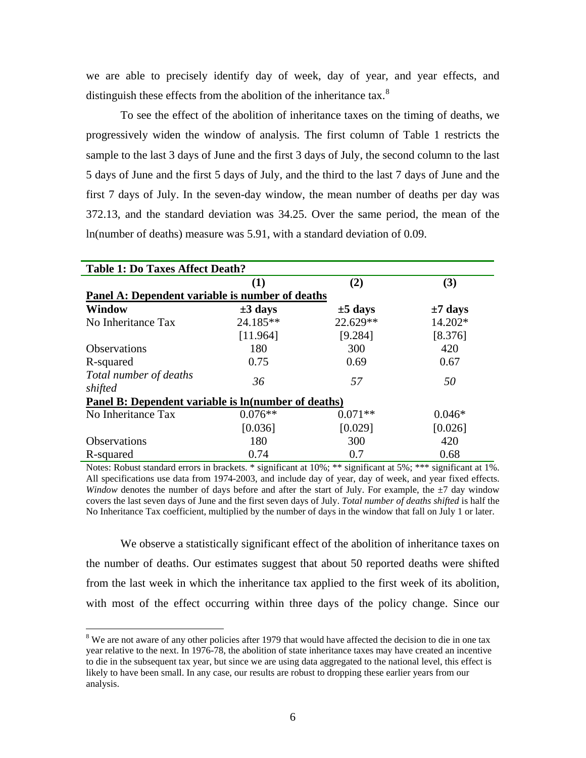we are able to precisely identify day of week, day of year, and year effects, and distinguish these effects from the abolition of the inheritance tax.<sup>[8](#page-5-0)</sup>

To see the effect of the abolition of inheritance taxes on the timing of deaths, we progressively widen the window of analysis. The first column of Table 1 restricts the sample to the last 3 days of June and the first 3 days of July, the second column to the last 5 days of June and the first 5 days of July, and the third to the last 7 days of June and the first 7 days of July. In the seven-day window, the mean number of deaths per day was 372.13, and the standard deviation was 34.25. Over the same period, the mean of the ln(number of deaths) measure was 5.91, with a standard deviation of 0.09.

| <b>Table 1: Do Taxes Affect Death?</b>              |              |              |              |
|-----------------------------------------------------|--------------|--------------|--------------|
|                                                     | (1)          | (2)          | (3)          |
| Panel A: Dependent variable is number of deaths     |              |              |              |
| <b>Window</b>                                       | $\pm 3$ days | $\pm 5$ days | $\pm 7$ days |
| No Inheritance Tax                                  | 24.185**     | 22.629**     | 14.202*      |
|                                                     | [11.964]     | [9.284]      | [8.376]      |
| <b>Observations</b>                                 | 180          | 300          | 420          |
| R-squared                                           | 0.75         | 0.69         | 0.67         |
| Total number of deaths<br>shifted                   | 36           | 57           | 50           |
| Panel B: Dependent variable is ln(number of deaths) |              |              |              |
| No Inheritance Tax                                  | $0.076**$    | $0.071**$    | $0.046*$     |
|                                                     | [0.036]      | [0.029]      | [0.026]      |
| <b>Observations</b>                                 | 180          | 300          | 420          |
| R-squared                                           | 0.74         | 0.7          | 0.68         |

Notes: Robust standard errors in brackets. \* significant at 10%; \*\* significant at 5%; \*\*\* significant at 1%. All specifications use data from 1974-2003, and include day of year, day of week, and year fixed effects. *Window* denotes the number of days before and after the start of July. For example, the  $\pm$ 7 day window covers the last seven days of June and the first seven days of July. *Total number of deaths shifted* is half the No Inheritance Tax coefficient, multiplied by the number of days in the window that fall on July 1 or later.

We observe a statistically significant effect of the abolition of inheritance taxes on the number of deaths. Our estimates suggest that about 50 reported deaths were shifted from the last week in which the inheritance tax applied to the first week of its abolition, with most of the effect occurring within three days of the policy change. Since our

<span id="page-5-0"></span><sup>&</sup>lt;sup>8</sup> We are not aware of any other policies after 1979 that would have affected the decision to die in one tax year relative to the next. In 1976-78, the abolition of state inheritance taxes may have created an incentive to die in the subsequent tax year, but since we are using data aggregated to the national level, this effect is likely to have been small. In any case, our results are robust to dropping these earlier years from our analysis.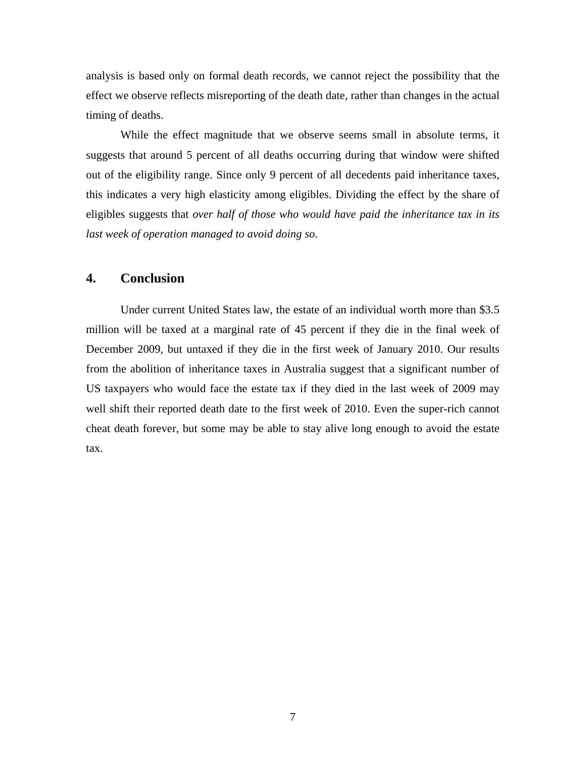analysis is based only on formal death records, we cannot reject the possibility that the effect we observe reflects misreporting of the death date, rather than changes in the actual timing of deaths.

While the effect magnitude that we observe seems small in absolute terms, it suggests that around 5 percent of all deaths occurring during that window were shifted out of the eligibility range. Since only 9 percent of all decedents paid inheritance taxes, this indicates a very high elasticity among eligibles. Dividing the effect by the share of eligibles suggests that *over half of those who would have paid the inheritance tax in its last week of operation managed to avoid doing so*.

## **4. Conclusion**

Under current United States law, the estate of an individual worth more than \$3.5 million will be taxed at a marginal rate of 45 percent if they die in the final week of December 2009, but untaxed if they die in the first week of January 2010. Our results from the abolition of inheritance taxes in Australia suggest that a significant number of US taxpayers who would face the estate tax if they died in the last week of 2009 may well shift their reported death date to the first week of 2010. Even the super-rich cannot cheat death forever, but some may be able to stay alive long enough to avoid the estate tax.